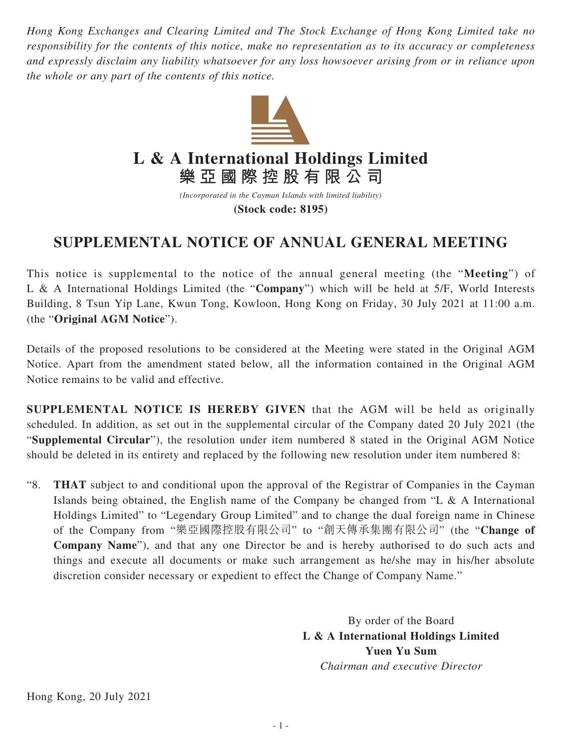*Hong Kong Exchanges and Clearing Limited and The Stock Exchange of Hong Kong Limited take no responsibility for the contents of this notice, make no representation as to its accuracy or completeness and expressly disclaim any liability whatsoever for any loss howsoever arising from or in reliance upon the whole or any part of the contents of this notice.*



## **L & A International Holdings Limited**

**樂亞國際控股有限公司** *(Incorporated in the Cayman Islands with limited liability)* **(Stock code: 8195)**

## **SUPPLEMENTAL NOTICE OF ANNUAL GENERAL MEETING**

This notice is supplemental to the notice of the annual general meeting (the "**Meeting**") of L & A International Holdings Limited (the "**Company**") which will be held at 5/F, World Interests Building, 8 Tsun Yip Lane, Kwun Tong, Kowloon, Hong Kong on Friday, 30 July 2021 at 11:00 a.m. (the "**Original AGM Notice**").

Details of the proposed resolutions to be considered at the Meeting were stated in the Original AGM Notice. Apart from the amendment stated below, all the information contained in the Original AGM Notice remains to be valid and effective.

**SUPPLEMENTAL NOTICE IS HEREBY GIVEN** that the AGM will be held as originally scheduled. In addition, as set out in the supplemental circular of the Company dated 20 July 2021 (the "**Supplemental Circular**"), the resolution under item numbered 8 stated in the Original AGM Notice should be deleted in its entirety and replaced by the following new resolution under item numbered 8:

"8. **THAT** subject to and conditional upon the approval of the Registrar of Companies in the Cayman Islands being obtained, the English name of the Company be changed from "L & A International Holdings Limited" to "Legendary Group Limited" and to change the dual foreign name in Chinese of the Company from "樂亞國際控股有限公司" to "創天傳承集團有限公司" (the "**Change of Company Name**"), and that any one Director be and is hereby authorised to do such acts and things and execute all documents or make such arrangement as he/she may in his/her absolute discretion consider necessary or expedient to effect the Change of Company Name."

> By order of the Board **L & A International Holdings Limited Yuen Yu Sum** *Chairman and executive Director*

Hong Kong, 20 July 2021